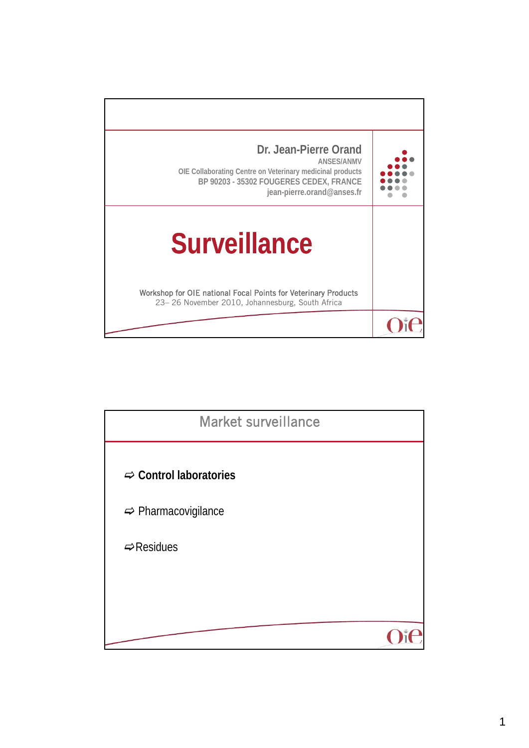

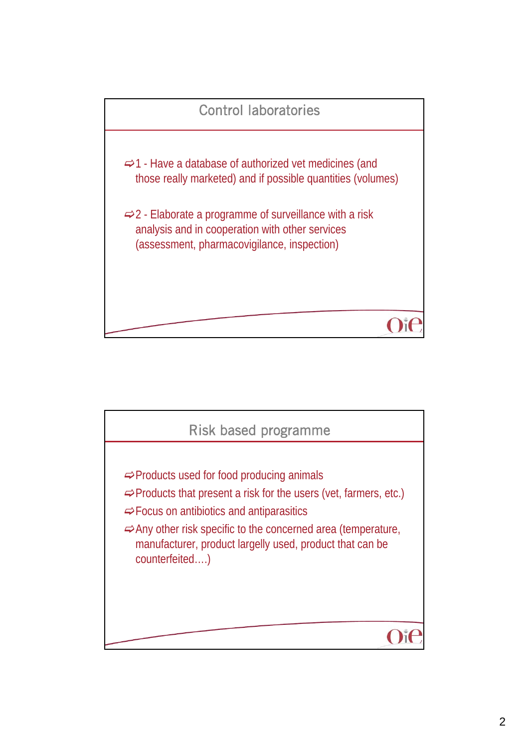

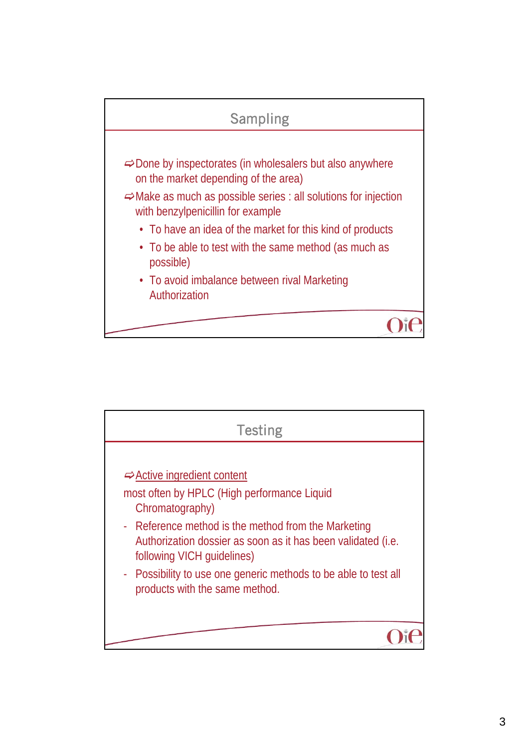

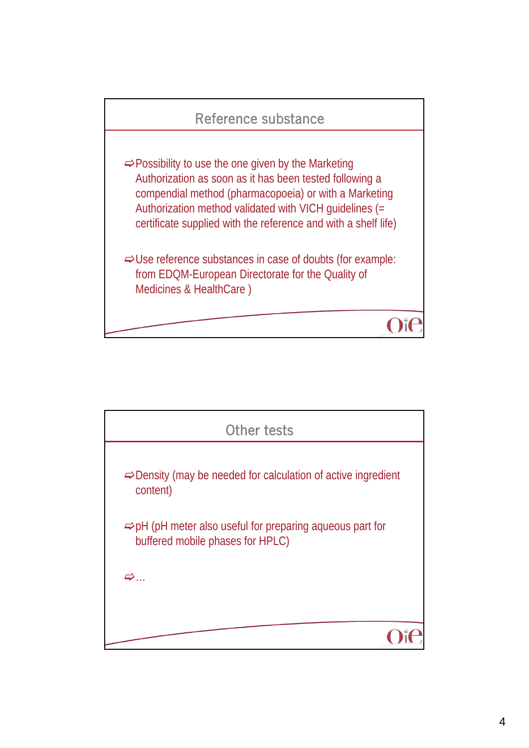

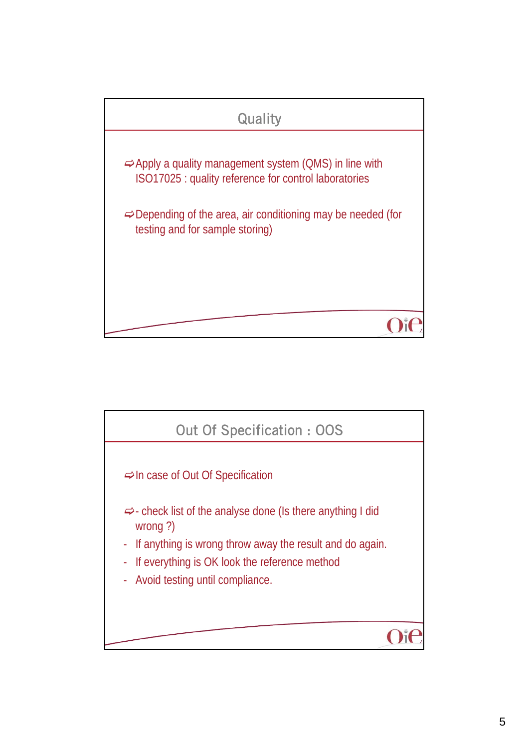

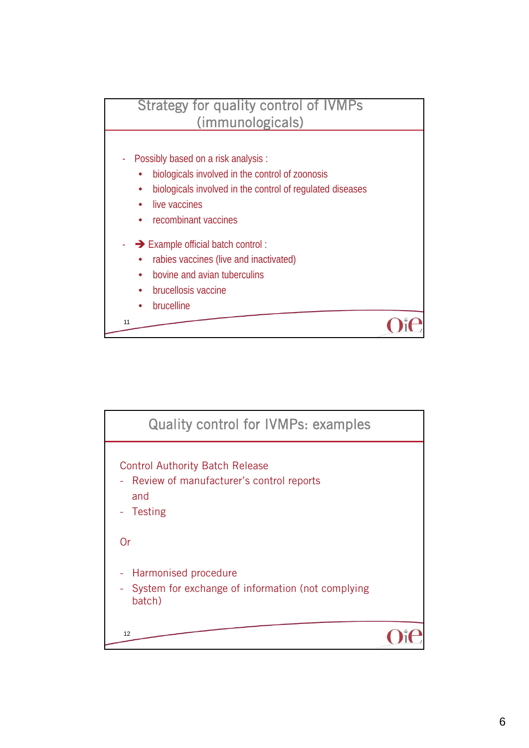

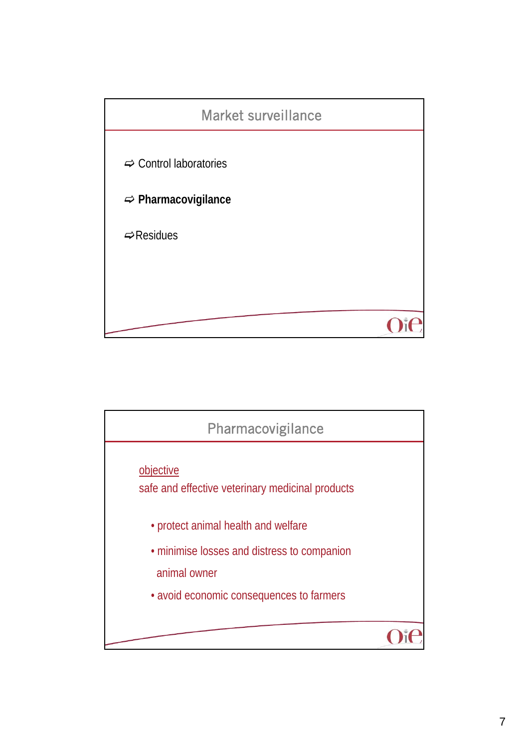

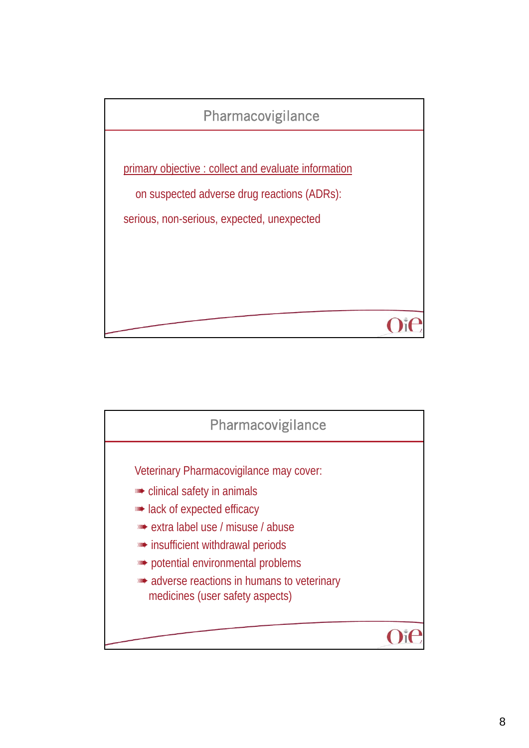

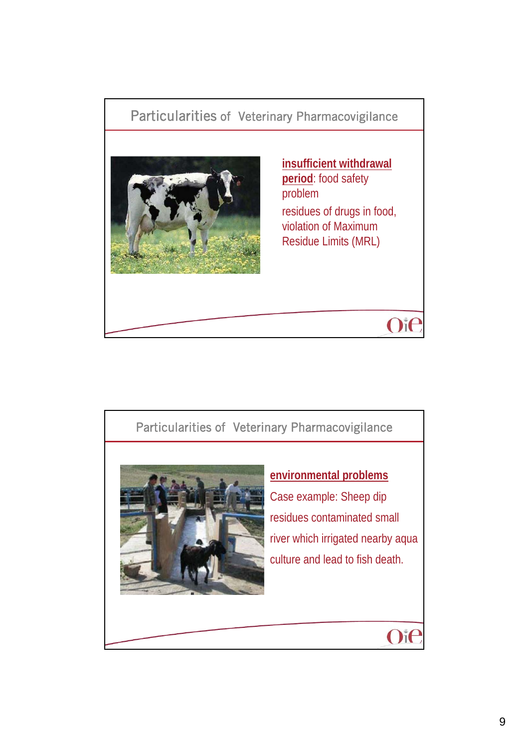

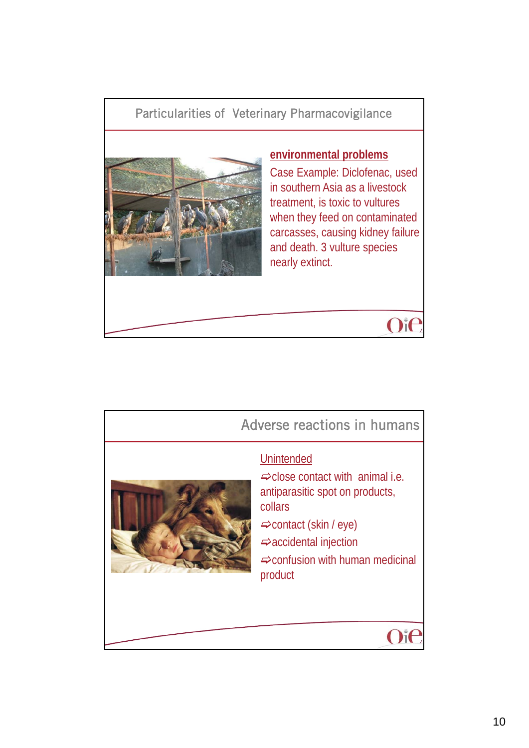## Particularities of Veterinary Pharmacovigilance



## **environmental problems**

Case Example: Diclofenac, used in southern Asia as a livestock treatment, is toxic to vultures when they feed on contaminated carcasses, causing kidney failure and death. 3 vulture species nearly extinct.



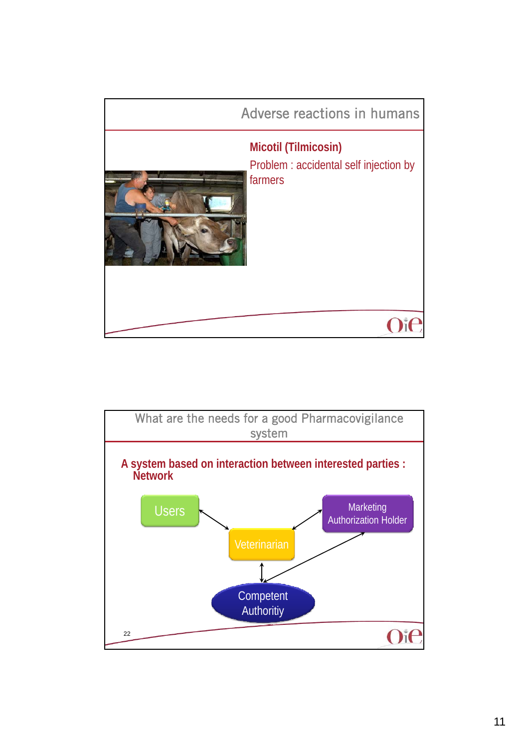

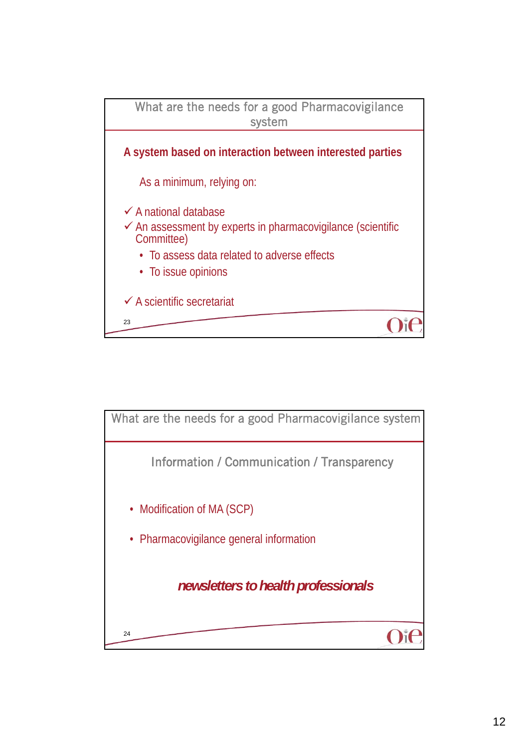

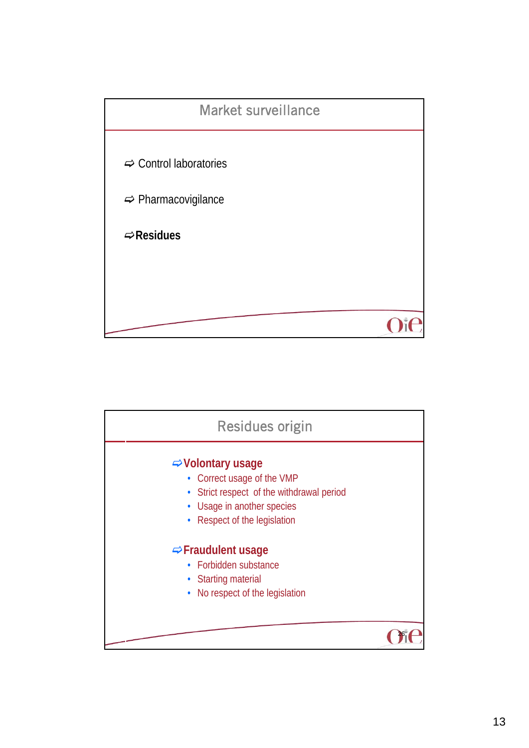

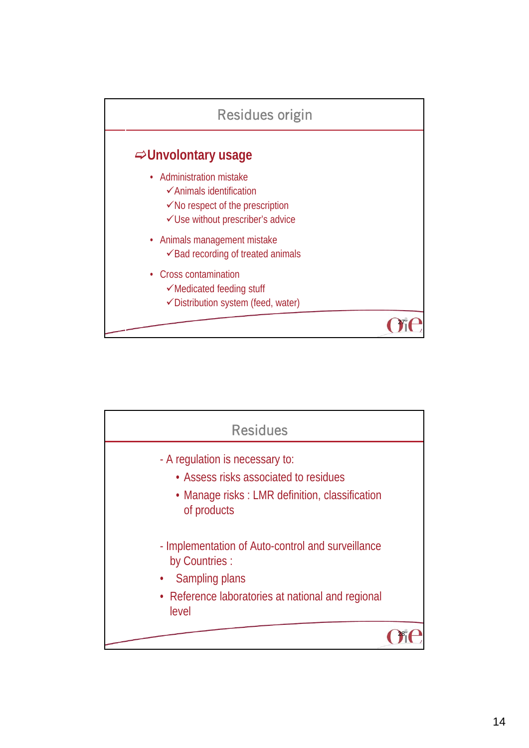

| <b>Residues</b>                                                                                                                                     |  |
|-----------------------------------------------------------------------------------------------------------------------------------------------------|--|
| - A regulation is necessary to:<br>• Assess risks associated to residues<br>• Manage risks: LMR definition, classification<br>of products           |  |
| - Implementation of Auto-control and surveillance<br>by Countries :<br>Sampling plans<br>• Reference laboratories at national and regional<br>level |  |
|                                                                                                                                                     |  |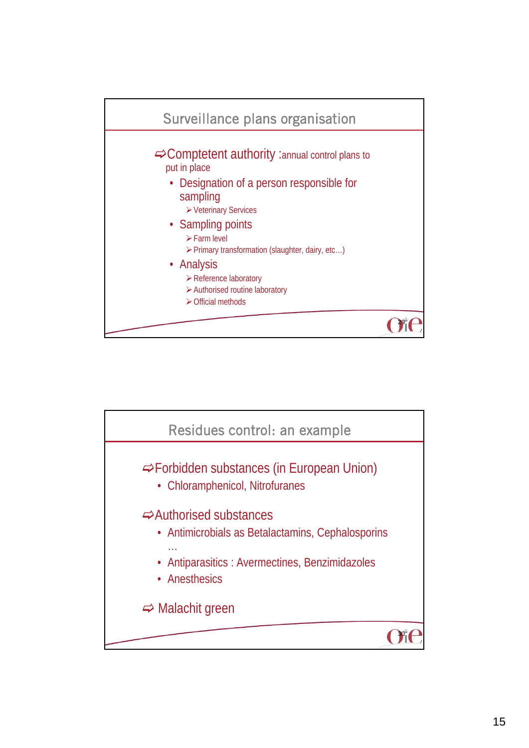

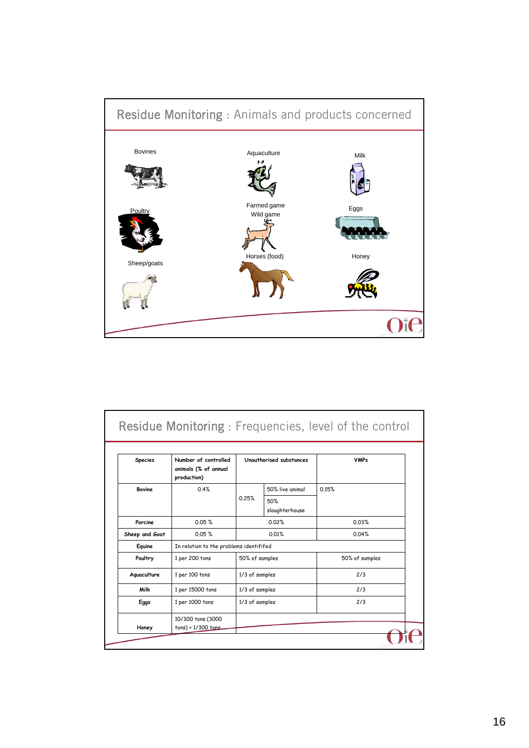

| <b>Species</b> | Number of controlled<br>animals (% of annual<br>production) | Unauthorised substances |                       | <b>VMPs</b>    |  |
|----------------|-------------------------------------------------------------|-------------------------|-----------------------|----------------|--|
| <b>Bovine</b>  | 0.4%                                                        |                         | 50% live animal       | 0.15%          |  |
|                |                                                             | 0.25%                   | 50%<br>slaughterhouse |                |  |
| Porcine        | 0.05%                                                       | 0.02%                   |                       | 0.03%          |  |
| Sheep and Goat | 0.05%                                                       | 0.01%                   |                       | 0.04%          |  |
| Equine         | In relation to the problems identififed                     |                         |                       |                |  |
| Poultry        | 1 per 200 tons                                              | 50% of samples          |                       | 50% of samples |  |
| Aquaculture    | 1 per 100 tons                                              | 1/3 of samples          |                       | 2/3            |  |
| Milk           | 1 per 15000 tons                                            | 1/3 of samples          |                       | 2/3            |  |
| Eggs           | 1 per 1000 tons                                             | 1/3 of samples          |                       | 2/3            |  |